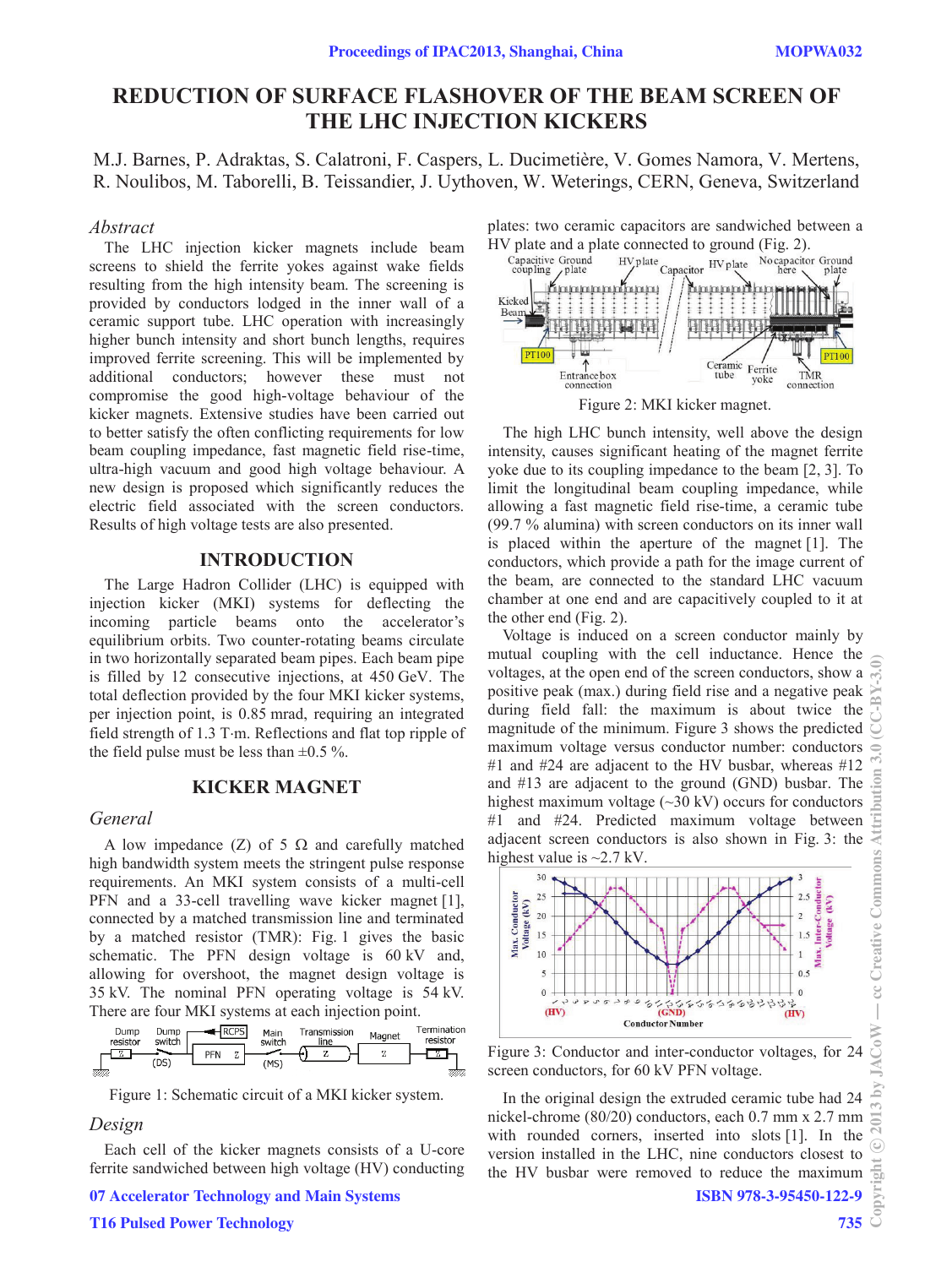# **REDUCTION OF SURFACE FLASHOVER OF THE BEAM SCREEN OF THE LHC INJECTION KICKERS**

M.J. Barnes, P. Adraktas, S. Calatroni, F. Caspers, L. Ducimetière, V. Gomes Namora, V. Mertens, R. Noulibos, M. Taborelli, B. Teissandier, J. Uythoven, W. Weterings, CERN, Geneva, Switzerland

#### *Abstract*

The LHC injection kicker magnets include beam screens to shield the ferrite yokes against wake fields resulting from the high intensity beam. The screening is provided by conductors lodged in the inner wall of a ceramic support tube. LHC operation with increasingly higher bunch intensity and short bunch lengths, requires improved ferrite screening. This will be implemented by additional conductors; however these must not compromise the good high-voltage behaviour of the kicker magnets. Extensive studies have been carried out to better satisfy the often conflicting requirements for low beam coupling impedance, fast magnetic field rise-time, ultra-high vacuum and good high voltage behaviour. A new design is proposed which significantly reduces the electric field associated with the screen conductors. Results of high voltage tests are also presented.

# **INTRODUCTION**

The Large Hadron Collider (LHC) is equipped with injection kicker (MKI) systems for deflecting the incoming particle beams onto the accelerator's equilibrium orbits. Two counter-rotating beams circulate in two horizontally separated beam pipes. Each beam pipe is filled by 12 consecutive injections, at 450 GeV. The total deflection provided by the four MKI kicker systems, per injection point, is 0.85 mrad, requiring an integrated field strength of 1.3 T·m. Reflections and flat top ripple of the field pulse must be less than  $\pm 0.5$  %.

### **KICKER MAGNET**

#### *General*

A low impedance (Z) of 5  $\Omega$  and carefully matched high bandwidth system meets the stringent pulse response requirements. An MKI system consists of a multi-cell PFN and a 33-cell travelling wave kicker magnet [1], connected by a matched transmission line and terminated by a matched resistor (TMR): Fig. 1 gives the basic schematic. The PFN design voltage is 60 kV and, allowing for overshoot, the magnet design voltage is 35 kV. The nominal PFN operating voltage is 54 kV. There are four MKI systems at each injection point.

| Dump<br>resistor | Dump<br>switch | PFN | <b>PCPS</b> | Main<br>switch | Transmission<br>line<br>$\overline{a}$ | Magnet | Termination<br>resistor |
|------------------|----------------|-----|-------------|----------------|----------------------------------------|--------|-------------------------|
| 77777.           | (DS)           |     |             | (MS)           | .,                                     |        |                         |

Figure 1: Schematic circuit of a MKI kicker system.

#### *Design*

Each cell of the kicker magnets consists of a U-core ferrite sandwiched between high voltage (HV) conducting

07 Accelerator Technology and Main Systems

plates: two ceramic capacitors are sandwiched between a



Figure 2: MKI kicker magnet.

The high LHC bunch intensity, well above the design intensity, causes significant heating of the magnet ferrite yoke due to its coupling impedance to the beam [2, 3]. To limit the longitudinal beam coupling impedance, while allowing a fast magnetic field rise-time, a ceramic tube (99.7 % alumina) with screen conductors on its inner wall is placed within the aperture of the magnet [1]. The conductors, which provide a path for the image current of the beam, are connected to the standard LHC vacuum chamber at one end and are capacitively coupled to it at the other end (Fig. 2).

Voltage is induced on a screen conductor mainly by mutual coupling with the cell inductance. Hence the voltages, at the open end of the screen conductors, show a positive peak (max.) during field rise and a negative peak during field fall: the maximum is about twice the magnitude of the minimum. Figure 3 shows the predicted maximum voltage versus conductor number: conductors #1 and  $#24$  are adjacent to the HV busbar, whereas  $#12$ and #13 are adjacent to the ground (GND) busbar. The highest maximum voltage  $(\sim]30 \text{ kV}$  occurs for conductors #1 and #24. Predicted maximum voltage between adjacent screen conductors is also shown in Fig. 3: the highest value is  $\sim$ 2.7 kV.



Figure 3: Conductor and inter-conductor voltages, for 24 screen conductors, for 60 kV PFN voltage.

In the original design the extruded ceramic tube had 24 nickel-chrome (80/20) conductors, each 0.7 mm x 2.7 mm with rounded corners, inserted into slots [1]. In the version installed in the LHC, nine conductors closest to the HV busbar were removed to reduce the maximum ISBN 978-3-95450-122-9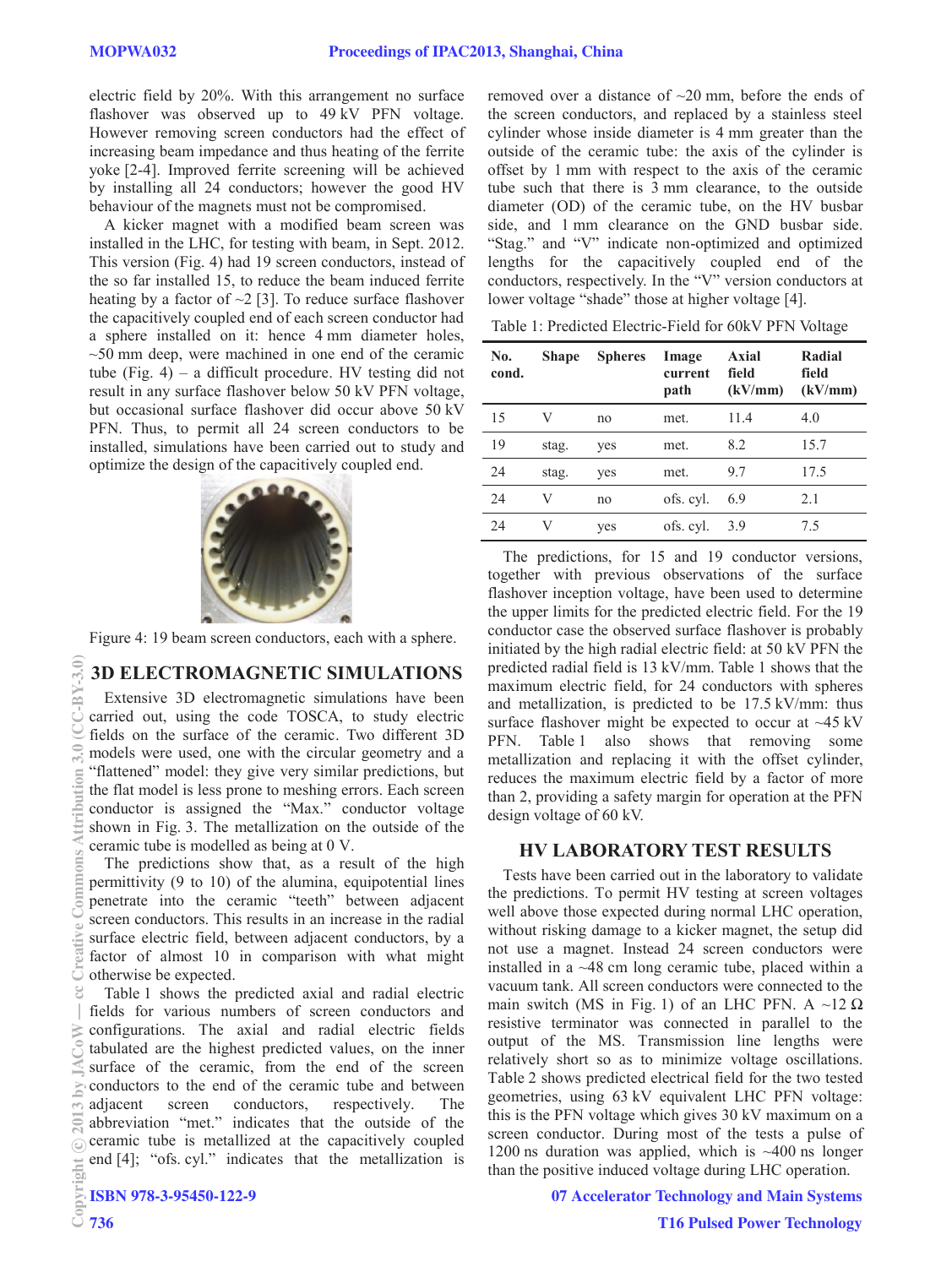electric field by 20%. With this arrangement no surface flashover was observed up to 49 kV PFN voltage. However removing screen conductors had the effect of increasing beam impedance and thus heating of the ferrite yoke [2-4]. Improved ferrite screening will be achieved by installing all 24 conductors; however the good HV behaviour of the magnets must not be compromised.

A kicker magnet with a modified beam screen was installed in the LHC, for testing with beam, in Sept. 2012. This version (Fig. 4) had 19 screen conductors, instead of the so far installed 15, to reduce the beam induced ferrite heating by a factor of  $\sim$ 2 [3]. To reduce surface flashover the capacitively coupled end of each screen conductor had a sphere installed on it: hence 4 mm diameter holes,  $\sim$ 50 mm deep, were machined in one end of the ceramic tube (Fig.  $4$ ) – a difficult procedure. HV testing did not result in any surface flashover below 50 kV PFN voltage, but occasional surface flashover did occur above 50 kV PFN. Thus, to permit all 24 screen conductors to be installed, simulations have been carried out to study and optimize the design of the capacitively coupled end.



Figure 4: 19 beam screen conductors, each with a sphere.

#### **3D ELECTROMAGNETIC SIMULATIONS**

Extensive 3D electromagnetic simulations have been carried out, using the code TOSCA, to study electric fields on the surface of the ceramic. Two different 3D models were used, one with the circular geometry and a "flattened" model: they give very similar predictions, but the flat model is less prone to meshing errors. Each screen conductor is assigned the "Max." conductor voltage shown in Fig. 3. The metallization on the outside of the ceramic tube is modelled as being at 0 V.

The predictions show that, as a result of the high permittivity (9 to 10) of the alumina, equipotential lines penetrate into the ceramic "teeth" between adjacent screen conductors. This results in an increase in the radial surface electric field, between adjacent conductors, by a factor of almost 10 in comparison with what might otherwise be expected.

Table 1 shows the predicted axial and radial electric fields for various numbers of screen conductors and configurations. The axial and radial electric fields tabulated are the highest predicted values, on the inner surface of the ceramic, from the end of the screen conductors to the end of the ceramic tube and between adjacent screen conductors, respectively. The abbreviation "met." indicates that the outside of the ceramic tube is metallized at the capacitively coupled end [4]; "ofs. cyl." indicates that the metallization is

```
ISBN 978-3-95450-122-9
```
removed over a distance of  $\sim$ 20 mm, before the ends of the screen conductors, and replaced by a stainless steel cylinder whose inside diameter is 4 mm greater than the outside of the ceramic tube: the axis of the cylinder is offset by 1 mm with respect to the axis of the ceramic tube such that there is 3 mm clearance, to the outside diameter (OD) of the ceramic tube, on the HV busbar side, and 1 mm clearance on the GND busbar side. "Stag." and "V" indicate non-optimized and optimized lengths for the capacitively coupled end of the conductors, respectively. In the "V" version conductors at lower voltage "shade" those at higher voltage [4].

Table 1: Predicted Electric-Field for 60kV PFN Voltage

| No.<br>cond. | <b>Shape</b> | <b>Spheres</b> | Image<br>current<br>path | Axial<br>field<br>(kV/mm) | Radial<br>field<br>(kV/mm) |
|--------------|--------------|----------------|--------------------------|---------------------------|----------------------------|
| 15           | V            | no             | met.                     | 11.4                      | 4.0                        |
| 19           | stag.        | yes            | met.                     | 8.2                       | 15.7                       |
| 24           | stag.        | yes            | met.                     | 9.7                       | 17.5                       |
| 24           | V            | no             | ofs. cyl.                | 6.9                       | 2.1                        |
| 24           | V            | yes            | ofs. cyl.                | 3.9                       | 75                         |

The predictions, for 15 and 19 conductor versions, together with previous observations of the surface flashover inception voltage, have been used to determine the upper limits for the predicted electric field. For the 19 conductor case the observed surface flashover is probably initiated by the high radial electric field: at 50 kV PFN the predicted radial field is 13 kV/mm. Table 1 shows that the maximum electric field, for 24 conductors with spheres and metallization, is predicted to be 17.5 kV/mm: thus surface flashover might be expected to occur at  $\sim$ 45 kV PFN. Table 1 also shows that removing some metallization and replacing it with the offset cylinder, reduces the maximum electric field by a factor of more than 2, providing a safety margin for operation at the PFN design voltage of 60 kV.

#### **HV LABORATORY TEST RESULTS**

Tests have been carried out in the laboratory to validate the predictions. To permit HV testing at screen voltages well above those expected during normal LHC operation, without risking damage to a kicker magnet, the setup did not use a magnet. Instead 24 screen conductors were installed in a ~48 cm long ceramic tube, placed within a vacuum tank. All screen conductors were connected to the main switch (MS in Fig. 1) of an LHC PFN. A  $\sim$ 12  $\Omega$ resistive terminator was connected in parallel to the output of the MS. Transmission line lengths were relatively short so as to minimize voltage oscillations. Table 2 shows predicted electrical field for the two tested geometries, using 63 kV equivalent LHC PFN voltage: this is the PFN voltage which gives 30 kV maximum on a screen conductor. During most of the tests a pulse of 1200 ns duration was applied, which is  $~100$  ns longer than the positive induced voltage during LHC operation.

07 Accelerator Technology and Main Systems